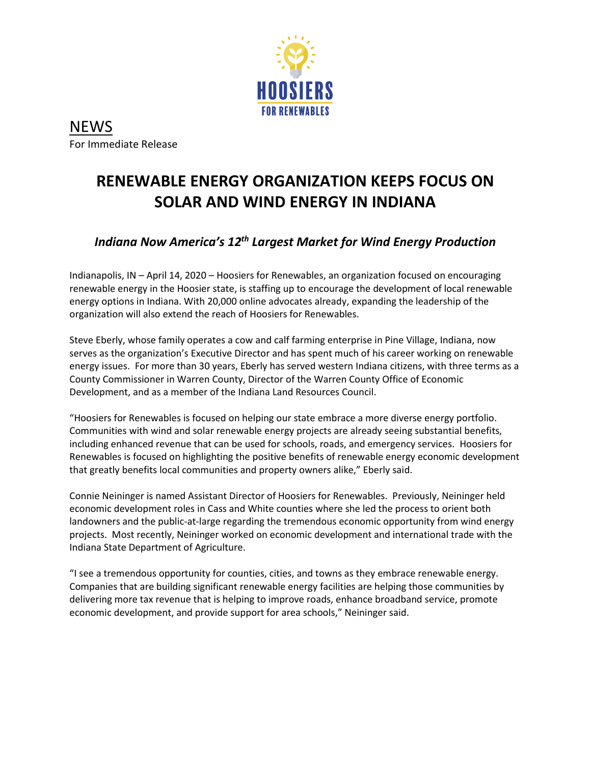

**NEWS** For Immediate Release

## **RENEWABLE ENERGY ORGANIZATION KEEPS FOCUS ON SOLAR AND WIND ENERGY IN INDIANA**

## *Indiana Now America's 12th Largest Market for Wind Energy Production*

Indianapolis, IN – April 14, 2020 – Hoosiers for Renewables, an organization focused on encouraging renewable energy in the Hoosier state, is staffing up to encourage the development of local renewable energy options in Indiana. With 20,000 online advocates already, expanding the leadership of the organization will also extend the reach of Hoosiers for Renewables.

Steve Eberly, whose family operates a cow and calf farming enterprise in Pine Village, Indiana, now serves as the organization's Executive Director and has spent much of his career working on renewable energy issues. For more than 30 years, Eberly has served western Indiana citizens, with three terms as a County Commissioner in Warren County, Director of the Warren County Office of Economic Development, and as a member of the Indiana Land Resources Council.

"Hoosiers for Renewables is focused on helping our state embrace a more diverse energy portfolio. Communities with wind and solar renewable energy projects are already seeing substantial benefits, including enhanced revenue that can be used for schools, roads, and emergency services. Hoosiers for Renewables is focused on highlighting the positive benefits of renewable energy economic development that greatly benefits local communities and property owners alike," Eberly said.

Connie Neininger is named Assistant Director of Hoosiers for Renewables. Previously, Neininger held economic development roles in Cass and White counties where she led the process to orient both landowners and the public-at-large regarding the tremendous economic opportunity from wind energy projects. Most recently, Neininger worked on economic development and international trade with the Indiana State Department of Agriculture.

"I see a tremendous opportunity for counties, cities, and towns as they embrace renewable energy. Companies that are building significant renewable energy facilities are helping those communities by delivering more tax revenue that is helping to improve roads, enhance broadband service, promote economic development, and provide support for area schools," Neininger said.